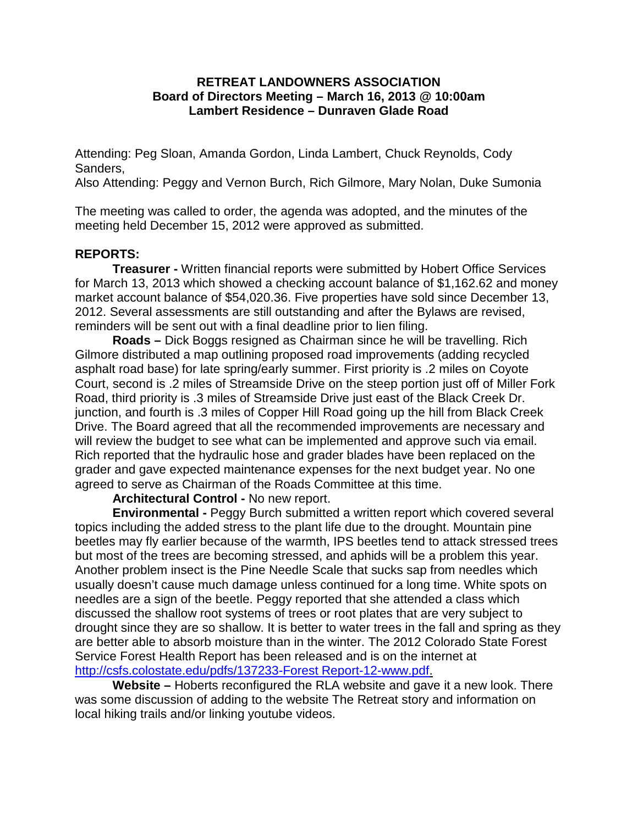## **RETREAT LANDOWNERS ASSOCIATION Board of Directors Meeting – March 16, 2013 @ 10:00am Lambert Residence – Dunraven Glade Road**

Attending: Peg Sloan, Amanda Gordon, Linda Lambert, Chuck Reynolds, Cody Sanders,

Also Attending: Peggy and Vernon Burch, Rich Gilmore, Mary Nolan, Duke Sumonia

The meeting was called to order, the agenda was adopted, and the minutes of the meeting held December 15, 2012 were approved as submitted.

# **REPORTS:**

**Treasurer -** Written financial reports were submitted by Hobert Office Services for March 13, 2013 which showed a checking account balance of \$1,162.62 and money market account balance of \$54,020.36. Five properties have sold since December 13, 2012. Several assessments are still outstanding and after the Bylaws are revised, reminders will be sent out with a final deadline prior to lien filing.

**Roads –** Dick Boggs resigned as Chairman since he will be travelling. Rich Gilmore distributed a map outlining proposed road improvements (adding recycled asphalt road base) for late spring/early summer. First priority is .2 miles on Coyote Court, second is .2 miles of Streamside Drive on the steep portion just off of Miller Fork Road, third priority is .3 miles of Streamside Drive just east of the Black Creek Dr. junction, and fourth is .3 miles of Copper Hill Road going up the hill from Black Creek Drive. The Board agreed that all the recommended improvements are necessary and will review the budget to see what can be implemented and approve such via email. Rich reported that the hydraulic hose and grader blades have been replaced on the grader and gave expected maintenance expenses for the next budget year. No one agreed to serve as Chairman of the Roads Committee at this time.

**Architectural Control -** No new report.

**Environmental -** Peggy Burch submitted a written report which covered several topics including the added stress to the plant life due to the drought. Mountain pine beetles may fly earlier because of the warmth, IPS beetles tend to attack stressed trees but most of the trees are becoming stressed, and aphids will be a problem this year. Another problem insect is the Pine Needle Scale that sucks sap from needles which usually doesn't cause much damage unless continued for a long time. White spots on needles are a sign of the beetle. Peggy reported that she attended a class which discussed the shallow root systems of trees or root plates that are very subject to drought since they are so shallow. It is better to water trees in the fall and spring as they are better able to absorb moisture than in the winter. The 2012 Colorado State Forest Service Forest Health Report has been released and is on the internet at [http://csfs.colostate.edu/pdfs/137233-Forest Report-12-www.pdf.](http://csfs.colostate.edu/pdfs/137233-Forest%20Report-12-www.pdf)

**Website –** Hoberts reconfigured the RLA website and gave it a new look. There was some discussion of adding to the website The Retreat story and information on local hiking trails and/or linking youtube videos.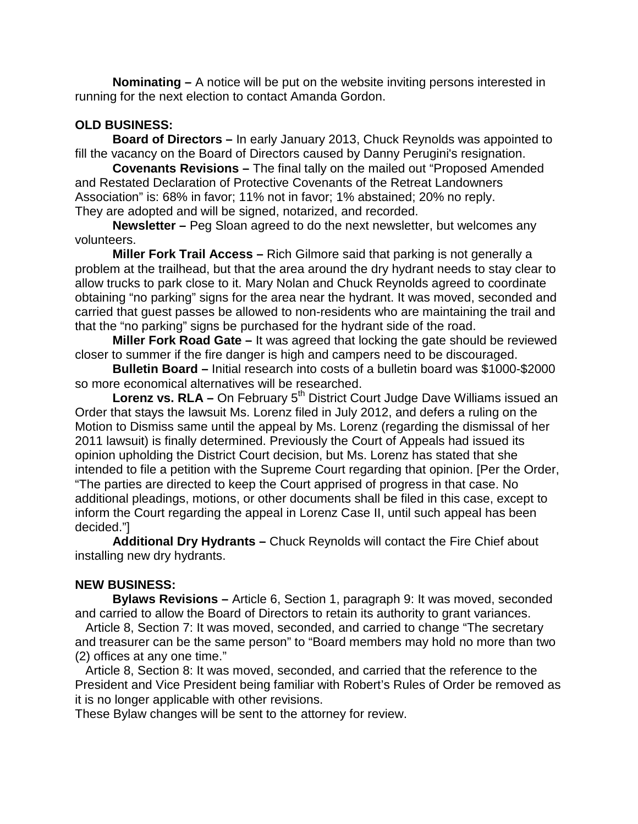**Nominating –** A notice will be put on the website inviting persons interested in running for the next election to contact Amanda Gordon.

## **OLD BUSINESS:**

**Board of Directors –** In early January 2013, Chuck Reynolds was appointed to fill the vacancy on the Board of Directors caused by Danny Perugini's resignation.

**Covenants Revisions –** The final tally on the mailed out "Proposed Amended and Restated Declaration of Protective Covenants of the Retreat Landowners Association" is: 68% in favor; 11% not in favor; 1% abstained; 20% no reply. They are adopted and will be signed, notarized, and recorded.

**Newsletter –** Peg Sloan agreed to do the next newsletter, but welcomes any volunteers.

**Miller Fork Trail Access –** Rich Gilmore said that parking is not generally a problem at the trailhead, but that the area around the dry hydrant needs to stay clear to allow trucks to park close to it. Mary Nolan and Chuck Reynolds agreed to coordinate obtaining "no parking" signs for the area near the hydrant. It was moved, seconded and carried that guest passes be allowed to non-residents who are maintaining the trail and that the "no parking" signs be purchased for the hydrant side of the road.

**Miller Fork Road Gate –** It was agreed that locking the gate should be reviewed closer to summer if the fire danger is high and campers need to be discouraged.

**Bulletin Board –** Initial research into costs of a bulletin board was \$1000-\$2000 so more economical alternatives will be researched.

**Lorenz vs. RLA** – On February 5<sup>th</sup> District Court Judge Dave Williams issued an Order that stays the lawsuit Ms. Lorenz filed in July 2012, and defers a ruling on the Motion to Dismiss same until the appeal by Ms. Lorenz (regarding the dismissal of her 2011 lawsuit) is finally determined. Previously the Court of Appeals had issued its opinion upholding the District Court decision, but Ms. Lorenz has stated that she intended to file a petition with the Supreme Court regarding that opinion. [Per the Order, "The parties are directed to keep the Court apprised of progress in that case. No additional pleadings, motions, or other documents shall be filed in this case, except to inform the Court regarding the appeal in Lorenz Case II, until such appeal has been decided."]

**Additional Dry Hydrants –** Chuck Reynolds will contact the Fire Chief about installing new dry hydrants.

# **NEW BUSINESS:**

**Bylaws Revisions –** Article 6, Section 1, paragraph 9: It was moved, seconded and carried to allow the Board of Directors to retain its authority to grant variances.

 Article 8, Section 7: It was moved, seconded, and carried to change "The secretary and treasurer can be the same person" to "Board members may hold no more than two (2) offices at any one time."

 Article 8, Section 8: It was moved, seconded, and carried that the reference to the President and Vice President being familiar with Robert's Rules of Order be removed as it is no longer applicable with other revisions.

These Bylaw changes will be sent to the attorney for review.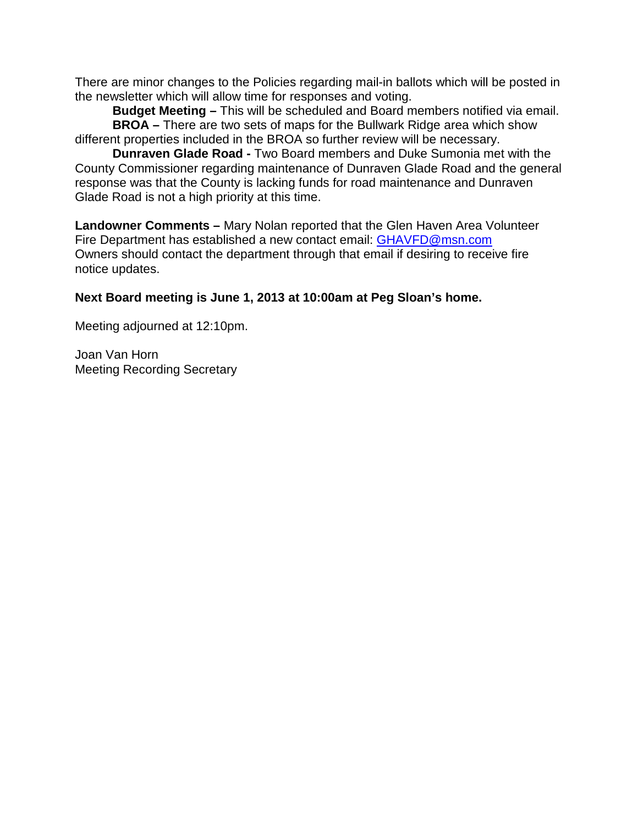There are minor changes to the Policies regarding mail-in ballots which will be posted in the newsletter which will allow time for responses and voting.

**Budget Meeting –** This will be scheduled and Board members notified via email. **BROA –** There are two sets of maps for the Bullwark Ridge area which show different properties included in the BROA so further review will be necessary.

**Dunraven Glade Road -** Two Board members and Duke Sumonia met with the County Commissioner regarding maintenance of Dunraven Glade Road and the general response was that the County is lacking funds for road maintenance and Dunraven Glade Road is not a high priority at this time.

**Landowner Comments –** Mary Nolan reported that the Glen Haven Area Volunteer Fire Department has established a new contact email: [GHAVFD@msn.com](mailto:GHAVFD@msn.com) Owners should contact the department through that email if desiring to receive fire notice updates.

# **Next Board meeting is June 1, 2013 at 10:00am at Peg Sloan's home.**

Meeting adjourned at 12:10pm.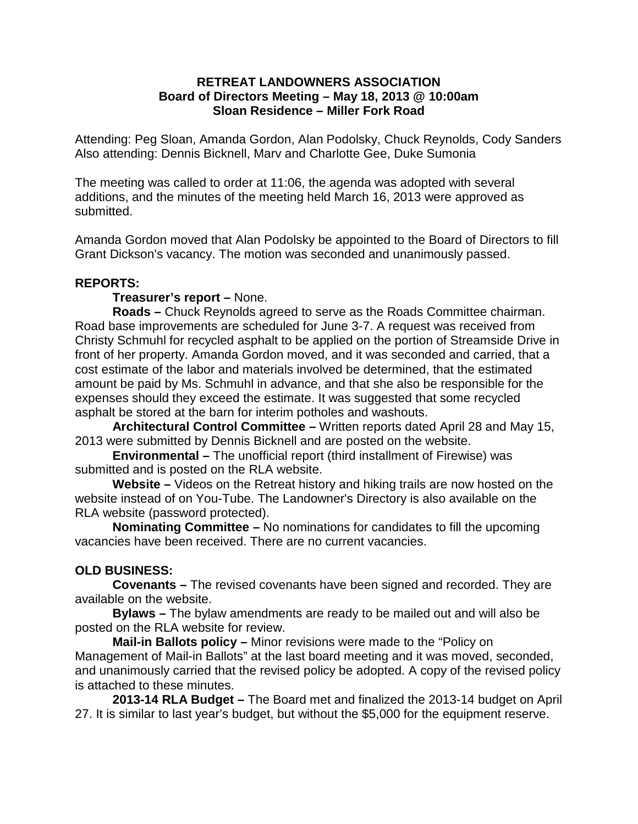## **RETREAT LANDOWNERS ASSOCIATION Board of Directors Meeting – May 18, 2013 @ 10:00am Sloan Residence – Miller Fork Road**

Attending: Peg Sloan, Amanda Gordon, Alan Podolsky, Chuck Reynolds, Cody Sanders Also attending: Dennis Bicknell, Marv and Charlotte Gee, Duke Sumonia

The meeting was called to order at 11:06, the agenda was adopted with several additions, and the minutes of the meeting held March 16, 2013 were approved as submitted.

Amanda Gordon moved that Alan Podolsky be appointed to the Board of Directors to fill Grant Dickson's vacancy. The motion was seconded and unanimously passed.

## **REPORTS:**

#### **Treasurer's report –** None.

**Roads –** Chuck Reynolds agreed to serve as the Roads Committee chairman. Road base improvements are scheduled for June 3-7. A request was received from Christy Schmuhl for recycled asphalt to be applied on the portion of Streamside Drive in front of her property. Amanda Gordon moved, and it was seconded and carried, that a cost estimate of the labor and materials involved be determined, that the estimated amount be paid by Ms. Schmuhl in advance, and that she also be responsible for the expenses should they exceed the estimate. It was suggested that some recycled asphalt be stored at the barn for interim potholes and washouts.

**Architectural Control Committee –** Written reports dated April 28 and May 15, 2013 were submitted by Dennis Bicknell and are posted on the website.

**Environmental –** The unofficial report (third installment of Firewise) was submitted and is posted on the RLA website.

**Website –** Videos on the Retreat history and hiking trails are now hosted on the website instead of on You-Tube. The Landowner's Directory is also available on the RLA website (password protected).

**Nominating Committee –** No nominations for candidates to fill the upcoming vacancies have been received. There are no current vacancies.

## **OLD BUSINESS:**

**Covenants –** The revised covenants have been signed and recorded. They are available on the website.

**Bylaws –** The bylaw amendments are ready to be mailed out and will also be posted on the RLA website for review.

**Mail-in Ballots policy –** Minor revisions were made to the "Policy on Management of Mail-in Ballots" at the last board meeting and it was moved, seconded, and unanimously carried that the revised policy be adopted. A copy of the revised policy is attached to these minutes.

**2013-14 RLA Budget –** The Board met and finalized the 2013-14 budget on April 27. It is similar to last year's budget, but without the \$5,000 for the equipment reserve.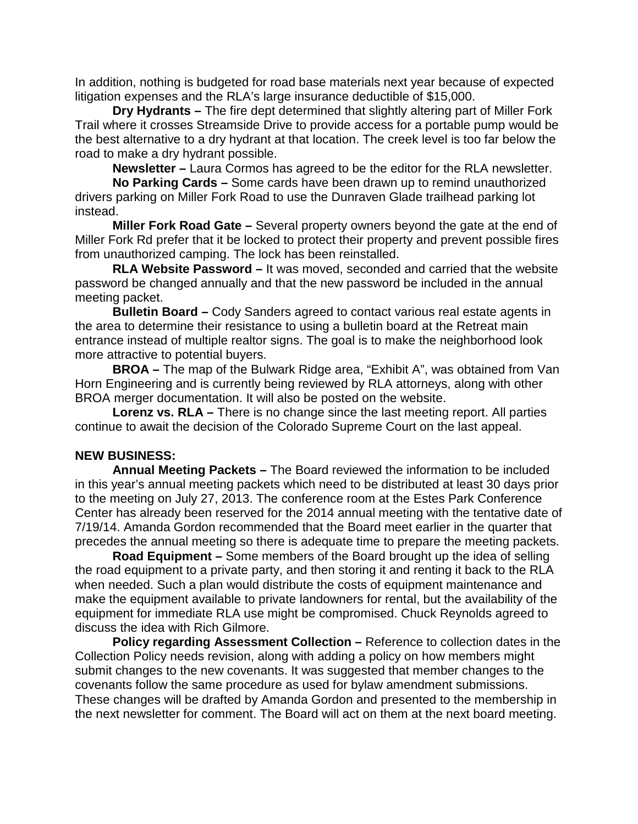In addition, nothing is budgeted for road base materials next year because of expected litigation expenses and the RLA's large insurance deductible of \$15,000.

**Dry Hydrants –** The fire dept determined that slightly altering part of Miller Fork Trail where it crosses Streamside Drive to provide access for a portable pump would be the best alternative to a dry hydrant at that location. The creek level is too far below the road to make a dry hydrant possible.

**Newsletter –** Laura Cormos has agreed to be the editor for the RLA newsletter.

**No Parking Cards –** Some cards have been drawn up to remind unauthorized drivers parking on Miller Fork Road to use the Dunraven Glade trailhead parking lot instead.

**Miller Fork Road Gate –** Several property owners beyond the gate at the end of Miller Fork Rd prefer that it be locked to protect their property and prevent possible fires from unauthorized camping. The lock has been reinstalled.

**RLA Website Password –** It was moved, seconded and carried that the website password be changed annually and that the new password be included in the annual meeting packet.

**Bulletin Board –** Cody Sanders agreed to contact various real estate agents in the area to determine their resistance to using a bulletin board at the Retreat main entrance instead of multiple realtor signs. The goal is to make the neighborhood look more attractive to potential buyers.

**BROA –** The map of the Bulwark Ridge area, "Exhibit A", was obtained from Van Horn Engineering and is currently being reviewed by RLA attorneys, along with other BROA merger documentation. It will also be posted on the website.

**Lorenz vs. RLA –** There is no change since the last meeting report. All parties continue to await the decision of the Colorado Supreme Court on the last appeal.

#### **NEW BUSINESS:**

**Annual Meeting Packets –** The Board reviewed the information to be included in this year's annual meeting packets which need to be distributed at least 30 days prior to the meeting on July 27, 2013. The conference room at the Estes Park Conference Center has already been reserved for the 2014 annual meeting with the tentative date of 7/19/14. Amanda Gordon recommended that the Board meet earlier in the quarter that precedes the annual meeting so there is adequate time to prepare the meeting packets.

**Road Equipment –** Some members of the Board brought up the idea of selling the road equipment to a private party, and then storing it and renting it back to the RLA when needed. Such a plan would distribute the costs of equipment maintenance and make the equipment available to private landowners for rental, but the availability of the equipment for immediate RLA use might be compromised. Chuck Reynolds agreed to discuss the idea with Rich Gilmore.

**Policy regarding Assessment Collection –** Reference to collection dates in the Collection Policy needs revision, along with adding a policy on how members might submit changes to the new covenants. It was suggested that member changes to the covenants follow the same procedure as used for bylaw amendment submissions. These changes will be drafted by Amanda Gordon and presented to the membership in the next newsletter for comment. The Board will act on them at the next board meeting.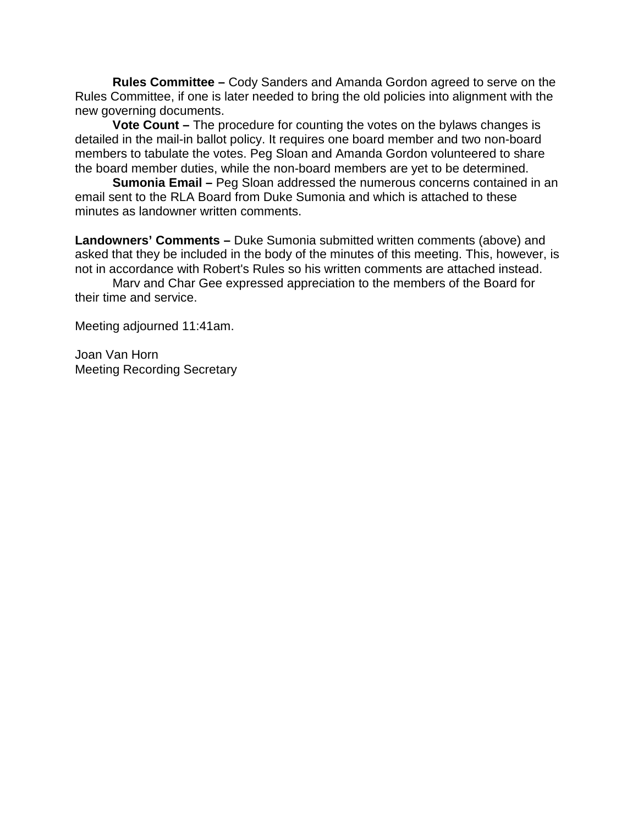**Rules Committee –** Cody Sanders and Amanda Gordon agreed to serve on the Rules Committee, if one is later needed to bring the old policies into alignment with the new governing documents.

**Vote Count –** The procedure for counting the votes on the bylaws changes is detailed in the mail-in ballot policy. It requires one board member and two non-board members to tabulate the votes. Peg Sloan and Amanda Gordon volunteered to share the board member duties, while the non-board members are yet to be determined.

**Sumonia Email –** Peg Sloan addressed the numerous concerns contained in an email sent to the RLA Board from Duke Sumonia and which is attached to these minutes as landowner written comments.

**Landowners' Comments –** Duke Sumonia submitted written comments (above) and asked that they be included in the body of the minutes of this meeting. This, however, is not in accordance with Robert's Rules so his written comments are attached instead.

Marv and Char Gee expressed appreciation to the members of the Board for their time and service.

Meeting adjourned 11:41am.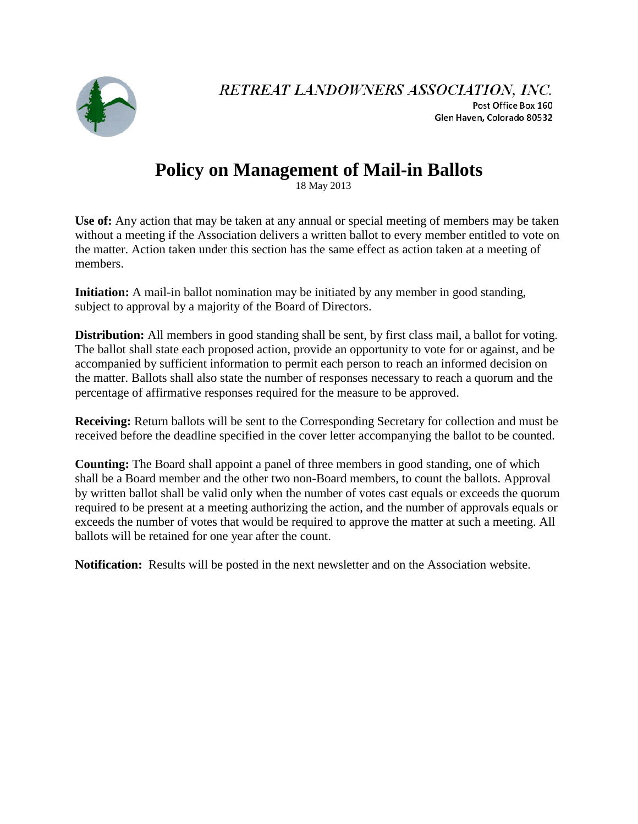

RETREAT LANDOWNERS ASSOCIATION, INC. Post Office Box 160 Glen Haven, Colorado 80532

# **Policy on Management of Mail-in Ballots**

18 May 2013

**Use of:** Any action that may be taken at any annual or special meeting of members may be taken without a meeting if the Association delivers a written ballot to every member entitled to vote on the matter. Action taken under this section has the same effect as action taken at a meeting of members.

**Initiation:** A mail-in ballot nomination may be initiated by any member in good standing, subject to approval by a majority of the Board of Directors.

**Distribution:** All members in good standing shall be sent, by first class mail, a ballot for voting. The ballot shall state each proposed action, provide an opportunity to vote for or against, and be accompanied by sufficient information to permit each person to reach an informed decision on the matter. Ballots shall also state the number of responses necessary to reach a quorum and the percentage of affirmative responses required for the measure to be approved.

**Receiving:** Return ballots will be sent to the Corresponding Secretary for collection and must be received before the deadline specified in the cover letter accompanying the ballot to be counted.

**Counting:** The Board shall appoint a panel of three members in good standing, one of which shall be a Board member and the other two non-Board members, to count the ballots. Approval by written ballot shall be valid only when the number of votes cast equals or exceeds the quorum required to be present at a meeting authorizing the action, and the number of approvals equals or exceeds the number of votes that would be required to approve the matter at such a meeting. All ballots will be retained for one year after the count.

**Notification:** Results will be posted in the next newsletter and on the Association website.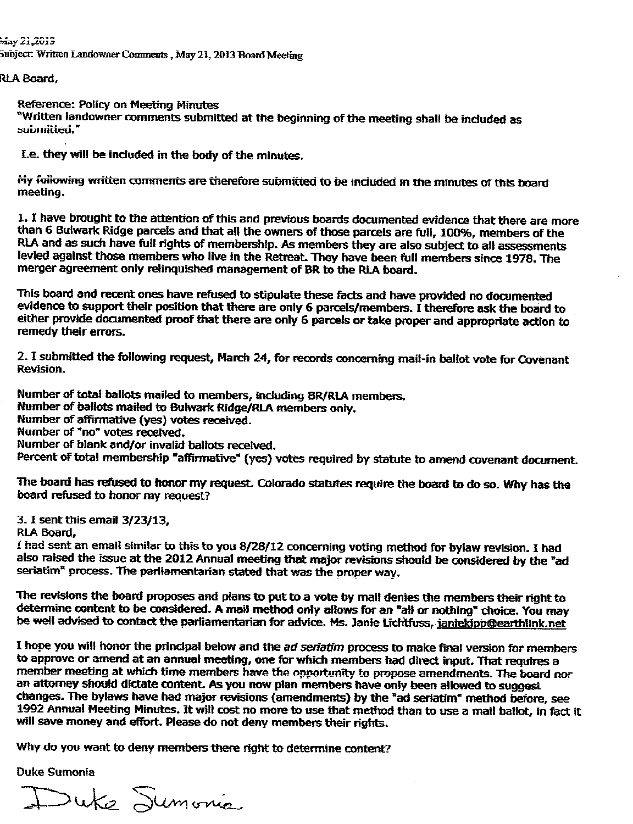.<br>May 21,2013 Subject: Written Landowner Comments, May 21, 2013 Board Meeting

RLA Board.

Reference: Policy on Meeting Minutes

"Written landowner comments submitted at the beginning of the meeting shall be included as submitted."

I.e. they will be included in the body of the minutes.

My following written comments are therefore submitted to be included in the minutes of this board meeting.

1. I have brought to the attention of this and previous boards documented evidence that there are more than 6 Bulwark Ridge parcels and that all the owners of those parcels are full, 100%, members of the RLA and as such have full rights of membership. As members they are also subject to all assessments levied against those members who live in the Retreat. They have been full members since 1978. The merger agreement only relinquished management of BR to the RLA board.

This board and recent ones have refused to stipulate these facts and have provided no documented evidence to support their position that there are only 6 parcels/members. I therefore ask the board to either provide documented proof that there are only 6 parcels or take proper and appropriate action to remedy their errors.

2. I submitted the following request, March 24, for records concerning mail-in ballot vote for Covenant **Revision.** 

Number of total ballots mailed to members, including BR/RLA members. Number of ballots mailed to Bulwark Ridge/RLA members only. Number of affirmative (yes) votes received. Number of "no" votes received. Number of blank and/or invalid ballots received. Percent of total membership "affirmative" (yes) votes required by statute to amend covenant document.

The board has refused to honor my request. Colorado statutes require the board to do so. Why has the board refused to honor my request?

3. I sent this email 3/23/13.

RLA Board.

I had sent an email similar to this to you 8/28/12 concerning voting method for bylaw revision. I had also raised the issue at the 2012 Annual meeting that major revisions should be considered by the "ad seriatim<sup>"</sup> process. The parliamentarian stated that was the proper way.

The revisions the board proposes and plans to put to a vote by mail denies the members their right to determine content to be considered. A mail method only allows for an "all or nothing" choice. You may be well advised to contact the parliamentarian for advice. Ms. Janie Lichtfuss, janiekipp@earthlink.net

I hope you will honor the principal below and the ad seriatim process to make final version for members to approve or amend at an annual meeting, one for which members had direct input. That requires a member meeting at which time members have the opportunity to propose amendments. The board nor an attorney should dictate content. As you now plan members have only been allowed to suggest changes. The bylaws have had major revisions (amendments) by the "ad seriatim" method before, see 1992 Annual Meeting Minutes. It will cost no more to use that method than to use a mail ballot, in fact it will save money and effort. Please do not deny members their rights.

Why do you want to deny members there right to determine content?

**Duke Sumonia** 

Duke Sumonia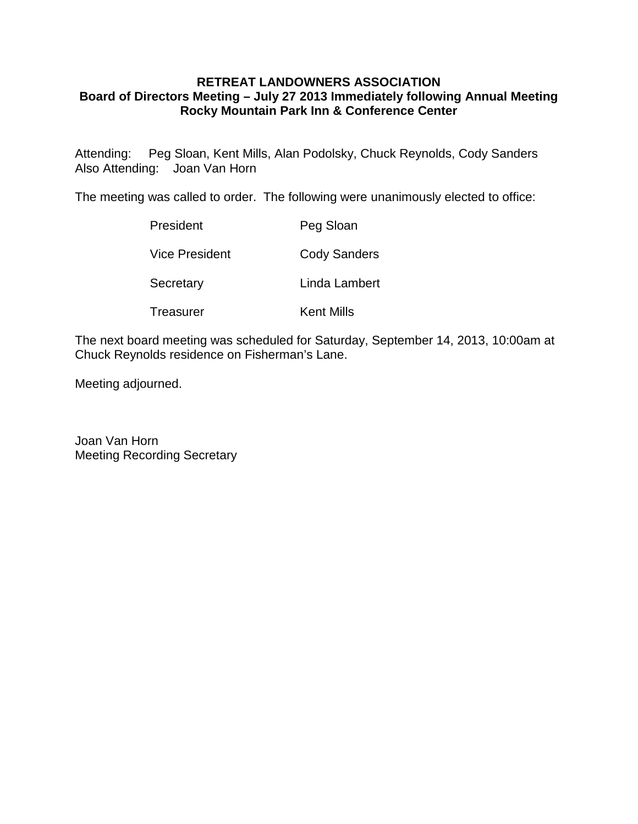## **RETREAT LANDOWNERS ASSOCIATION Board of Directors Meeting – July 27 2013 Immediately following Annual Meeting Rocky Mountain Park Inn & Conference Center**

Attending: Peg Sloan, Kent Mills, Alan Podolsky, Chuck Reynolds, Cody Sanders Also Attending: Joan Van Horn

The meeting was called to order. The following were unanimously elected to office:

| President      | Peg Sloan           |
|----------------|---------------------|
| Vice President | <b>Cody Sanders</b> |
| Secretary      | Linda Lambert       |
| Treasurer      | Kent Mills          |

The next board meeting was scheduled for Saturday, September 14, 2013, 10:00am at Chuck Reynolds residence on Fisherman's Lane.

Meeting adjourned.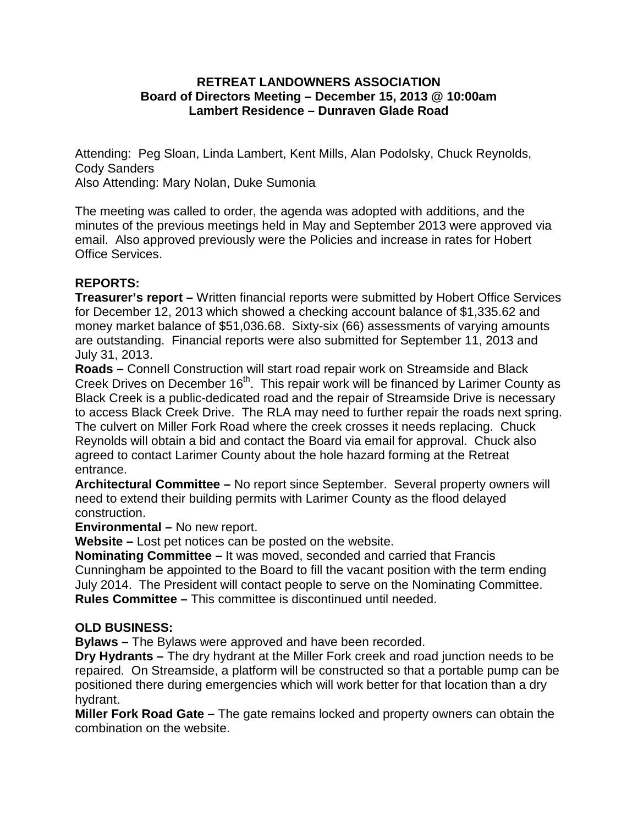## **RETREAT LANDOWNERS ASSOCIATION Board of Directors Meeting – December 15, 2013 @ 10:00am Lambert Residence – Dunraven Glade Road**

Attending: Peg Sloan, Linda Lambert, Kent Mills, Alan Podolsky, Chuck Reynolds, Cody Sanders

Also Attending: Mary Nolan, Duke Sumonia

The meeting was called to order, the agenda was adopted with additions, and the minutes of the previous meetings held in May and September 2013 were approved via email. Also approved previously were the Policies and increase in rates for Hobert Office Services.

## **REPORTS:**

**Treasurer's report –** Written financial reports were submitted by Hobert Office Services for December 12, 2013 which showed a checking account balance of \$1,335.62 and money market balance of \$51,036.68. Sixty-six (66) assessments of varying amounts are outstanding. Financial reports were also submitted for September 11, 2013 and July 31, 2013.

**Roads –** Connell Construction will start road repair work on Streamside and Black Creek Drives on December 16<sup>th</sup>. This repair work will be financed by Larimer County as Black Creek is a public-dedicated road and the repair of Streamside Drive is necessary to access Black Creek Drive. The RLA may need to further repair the roads next spring. The culvert on Miller Fork Road where the creek crosses it needs replacing. Chuck Reynolds will obtain a bid and contact the Board via email for approval. Chuck also agreed to contact Larimer County about the hole hazard forming at the Retreat entrance.

**Architectural Committee –** No report since September. Several property owners will need to extend their building permits with Larimer County as the flood delayed construction.

**Environmental –** No new report.

**Website –** Lost pet notices can be posted on the website.

**Nominating Committee –** It was moved, seconded and carried that Francis Cunningham be appointed to the Board to fill the vacant position with the term ending July 2014. The President will contact people to serve on the Nominating Committee. **Rules Committee –** This committee is discontinued until needed.

## **OLD BUSINESS:**

**Bylaws –** The Bylaws were approved and have been recorded.

**Dry Hydrants –** The dry hydrant at the Miller Fork creek and road junction needs to be repaired. On Streamside, a platform will be constructed so that a portable pump can be positioned there during emergencies which will work better for that location than a dry hydrant.

**Miller Fork Road Gate –** The gate remains locked and property owners can obtain the combination on the website.